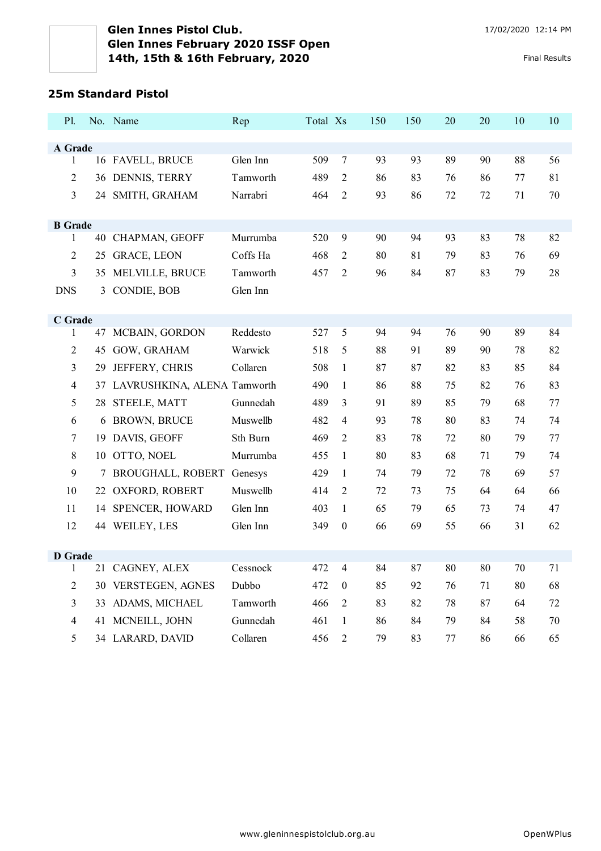### **25m Standard Pistol**

| P1.            |     | No. Name                    | Rep      | Total Xs |                  | 150 | 150 | 20 | 20 | 10 | 10 |
|----------------|-----|-----------------------------|----------|----------|------------------|-----|-----|----|----|----|----|
|                |     |                             |          |          |                  |     |     |    |    |    |    |
| A Grade<br>1   |     | 16 FAVELL, BRUCE            | Glen Inn | 509      | 7                | 93  | 93  | 89 | 90 | 88 | 56 |
| $\overline{2}$ |     | 36 DENNIS, TERRY            | Tamworth | 489      | $\overline{2}$   | 86  | 83  | 76 | 86 | 77 | 81 |
| $\mathfrak{Z}$ |     | 24 SMITH, GRAHAM            | Narrabri | 464      | $\sqrt{2}$       | 93  | 86  | 72 | 72 | 71 | 70 |
|                |     |                             |          |          |                  |     |     |    |    |    |    |
| <b>B</b> Grade |     |                             |          |          |                  |     |     |    |    |    |    |
| 1              |     | 40 CHAPMAN, GEOFF           | Murrumba | 520      | 9                | 90  | 94  | 93 | 83 | 78 | 82 |
| $\overline{2}$ | 25  | <b>GRACE, LEON</b>          | Coffs Ha | 468      | $\overline{c}$   | 80  | 81  | 79 | 83 | 76 | 69 |
| 3              | 35  | MELVILLE, BRUCE             | Tamworth | 457      | $\overline{c}$   | 96  | 84  | 87 | 83 | 79 | 28 |
| <b>DNS</b>     | 3   | CONDIE, BOB                 | Glen Inn |          |                  |     |     |    |    |    |    |
|                |     |                             |          |          |                  |     |     |    |    |    |    |
| C Grade        |     |                             |          |          |                  |     |     |    |    |    |    |
| 1              | 47  | MCBAIN, GORDON              | Reddesto | 527      | 5                | 94  | 94  | 76 | 90 | 89 | 84 |
| 2              | 45  | GOW, GRAHAM                 | Warwick  | 518      | 5                | 88  | 91  | 89 | 90 | 78 | 82 |
| $\mathfrak{Z}$ | 29  | JEFFERY, CHRIS              | Collaren | 508      | $\mathbf{1}$     | 87  | 87  | 82 | 83 | 85 | 84 |
| $\overline{4}$ | 37  | LAVRUSHKINA, ALENA Tamworth |          | 490      | $\mathbf{1}$     | 86  | 88  | 75 | 82 | 76 | 83 |
| 5              | 28  | STEELE, MATT                | Gunnedah | 489      | 3                | 91  | 89  | 85 | 79 | 68 | 77 |
| 6              |     | 6 BROWN, BRUCE              | Muswellb | 482      | 4                | 93  | 78  | 80 | 83 | 74 | 74 |
| 7              | 19  | DAVIS, GEOFF                | Sth Burn | 469      | $\overline{c}$   | 83  | 78  | 72 | 80 | 79 | 77 |
| 8              |     | 10 OTTO, NOEL               | Murrumba | 455      | $\mathbf{1}$     | 80  | 83  | 68 | 71 | 79 | 74 |
| 9              |     | <b>BROUGHALL, ROBERT</b>    | Genesys  | 429      | $\mathbf{1}$     | 74  | 79  | 72 | 78 | 69 | 57 |
| 10             | 22. | OXFORD, ROBERT              | Muswellb | 414      | $\overline{c}$   | 72  | 73  | 75 | 64 | 64 | 66 |
| 11             | 14  | <b>SPENCER, HOWARD</b>      | Glen Inn | 403      | $\mathbf{1}$     | 65  | 79  | 65 | 73 | 74 | 47 |
| 12             |     | 44 WEILEY, LES              | Glen Inn | 349      | $\boldsymbol{0}$ | 66  | 69  | 55 | 66 | 31 | 62 |
|                |     |                             |          |          |                  |     |     |    |    |    |    |
| <b>D</b> Grade |     |                             |          |          |                  |     |     |    |    |    |    |
| $\mathbf{1}$   |     | 21 CAGNEY, ALEX             | Cessnock | 472      | $\overline{4}$   | 84  | 87  | 80 | 80 | 70 | 71 |
| $\overline{2}$ |     | 30 VERSTEGEN, AGNES         | Dubbo    | 472      | $\boldsymbol{0}$ | 85  | 92  | 76 | 71 | 80 | 68 |
| 3              | 33  | ADAMS, MICHAEL              | Tamworth | 466      | $\overline{c}$   | 83  | 82  | 78 | 87 | 64 | 72 |
| $\overline{4}$ |     | 41 MCNEILL, JOHN            | Gunnedah | 461      | $\mathbf{1}$     | 86  | 84  | 79 | 84 | 58 | 70 |
| 5              |     | 34 LARARD, DAVID            | Collaren | 456      | $\overline{c}$   | 79  | 83  | 77 | 86 | 66 | 65 |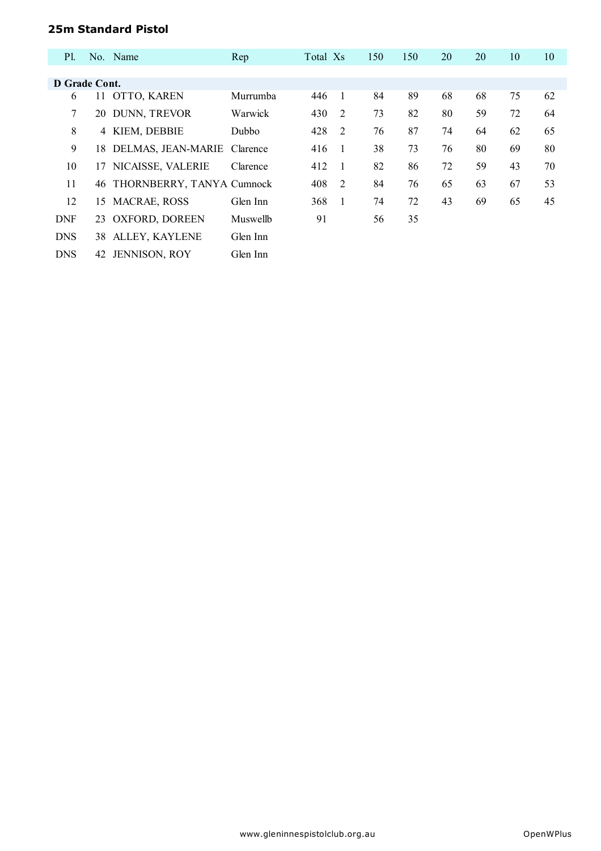## **25m Standard Pistol**

| <b>Pl.</b>    |    | No. Name                     | Rep          | Total Xs |                | 150 | 150 | 20 | 20 | 10 | 10 |
|---------------|----|------------------------------|--------------|----------|----------------|-----|-----|----|----|----|----|
|               |    |                              |              |          |                |     |     |    |    |    |    |
| D Grade Cont. |    |                              |              |          |                |     |     |    |    |    |    |
| 6             |    | 11 OTTO, KAREN               | Murrumba     | 446      | $\overline{1}$ | 84  | 89  | 68 | 68 | 75 | 62 |
| 7             | 20 | DUNN, TREVOR                 | Warwick      | 430      | $\overline{2}$ | 73  | 82  | 80 | 59 | 72 | 64 |
| 8             | 4  | KIEM, DEBBIE                 | <b>Dubbo</b> | 428      | $\overline{2}$ | 76  | 87  | 74 | 64 | 62 | 65 |
| 9             |    | 18 DELMAS, JEAN-MARIE        | Clarence     | 416      | $\overline{1}$ | 38  | 73  | 76 | 80 | 69 | 80 |
| 10            |    | 17 NICAISSE, VALERIE         | Clarence     | 412      | $\overline{1}$ | 82  | 86  | 72 | 59 | 43 | 70 |
| 11            |    | 46 THORNBERRY, TANYA Cumnock |              | 408      | $\overline{2}$ | 84  | 76  | 65 | 63 | 67 | 53 |
| 12            | 15 | <b>MACRAE, ROSS</b>          | Glen Inn     | 368      | $\overline{1}$ | 74  | 72  | 43 | 69 | 65 | 45 |
| <b>DNF</b>    |    | 23 OXFORD, DOREEN            | Muswellb     | 91       |                | 56  | 35  |    |    |    |    |
| <b>DNS</b>    |    | 38 ALLEY, KAYLENE            | Glen Inn     |          |                |     |     |    |    |    |    |
| <b>DNS</b>    | 42 | <b>JENNISON, ROY</b>         | Glen Inn     |          |                |     |     |    |    |    |    |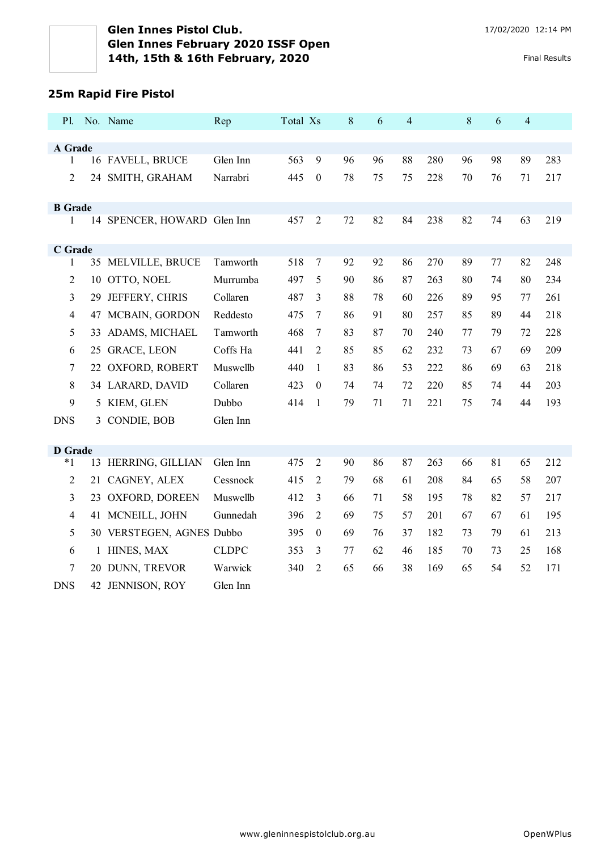# **25m Rapid Fire Pistol**

| <b>P</b> l.    |    | No. Name                    | Rep          | Total Xs |                  | 8  | 6  | $\overline{4}$ |     | 8  | 6  | $\overline{4}$ |     |
|----------------|----|-----------------------------|--------------|----------|------------------|----|----|----------------|-----|----|----|----------------|-----|
|                |    |                             |              |          |                  |    |    |                |     |    |    |                |     |
| A Grade        |    |                             | Glen Inn     | 563      | 9                | 96 | 96 | 88             | 280 |    | 98 | 89             | 283 |
| $\mathbf{1}$   |    | 16 FAVELL, BRUCE            |              |          |                  |    |    |                |     | 96 |    |                |     |
| $\overline{c}$ | 24 | SMITH, GRAHAM               | Narrabri     | 445      | $\boldsymbol{0}$ | 78 | 75 | 75             | 228 | 70 | 76 | 71             | 217 |
| <b>B</b> Grade |    |                             |              |          |                  |    |    |                |     |    |    |                |     |
| 1              |    | 14 SPENCER, HOWARD Glen Inn |              | 457      | $\overline{2}$   | 72 | 82 | 84             | 238 | 82 | 74 | 63             | 219 |
| C Grade        |    |                             |              |          |                  |    |    |                |     |    |    |                |     |
| 1              |    | 35 MELVILLE, BRUCE          | Tamworth     | 518      | $\boldsymbol{7}$ | 92 | 92 | 86             | 270 | 89 | 77 | 82             | 248 |
| $\overline{2}$ | 10 | OTTO, NOEL                  | Murrumba     | 497      | 5                | 90 | 86 | 87             | 263 | 80 | 74 | 80             | 234 |
| 3              | 29 | JEFFERY, CHRIS              | Collaren     | 487      | 3                | 88 | 78 | 60             | 226 | 89 | 95 | 77             | 261 |
| $\overline{4}$ |    | 47 MCBAIN, GORDON           | Reddesto     | 475      | 7                | 86 | 91 | 80             | 257 | 85 | 89 | 44             | 218 |
| 5              | 33 | ADAMS, MICHAEL              | Tamworth     | 468      | 7                | 83 | 87 | 70             | 240 | 77 | 79 | 72             | 228 |
| 6              |    | 25 GRACE, LEON              | Coffs Ha     | 441      | 2                | 85 | 85 | 62             | 232 | 73 | 67 | 69             | 209 |
| 7              |    | 22 OXFORD, ROBERT           | Muswellb     | 440      | 1                | 83 | 86 | 53             | 222 | 86 | 69 | 63             | 218 |
| 8              |    | 34 LARARD, DAVID            | Collaren     | 423      | $\theta$         | 74 | 74 | 72             | 220 | 85 | 74 | 44             | 203 |
| 9              |    | 5 KIEM, GLEN                | Dubbo        | 414      | 1                | 79 | 71 | 71             | 221 | 75 | 74 | 44             | 193 |
| <b>DNS</b>     |    | 3 CONDIE, BOB               | Glen Inn     |          |                  |    |    |                |     |    |    |                |     |
|                |    |                             |              |          |                  |    |    |                |     |    |    |                |     |
| <b>D</b> Grade |    |                             |              |          |                  |    |    |                |     |    |    |                |     |
| $*1$           | 13 | HERRING, GILLIAN            | Glen Inn     | 475      | 2                | 90 | 86 | 87             | 263 | 66 | 81 | 65             | 212 |
| $\overline{c}$ | 21 | CAGNEY, ALEX                | Cessnock     | 415      | 2                | 79 | 68 | 61             | 208 | 84 | 65 | 58             | 207 |
| 3              |    | 23 OXFORD, DOREEN           | Muswellb     | 412      | 3                | 66 | 71 | 58             | 195 | 78 | 82 | 57             | 217 |
| $\overline{4}$ |    | 41 MCNEILL, JOHN            | Gunnedah     | 396      | 2                | 69 | 75 | 57             | 201 | 67 | 67 | 61             | 195 |
| 5              |    | 30 VERSTEGEN, AGNES Dubbo   |              | 395      | $\boldsymbol{0}$ | 69 | 76 | 37             | 182 | 73 | 79 | 61             | 213 |
| 6              |    | 1 HINES, MAX                | <b>CLDPC</b> | 353      | 3                | 77 | 62 | 46             | 185 | 70 | 73 | 25             | 168 |
| 7              |    | 20 DUNN, TREVOR             | Warwick      | 340      | 2                | 65 | 66 | 38             | 169 | 65 | 54 | 52             | 171 |
| <b>DNS</b>     |    | 42 JENNISON, ROY            | Glen Inn     |          |                  |    |    |                |     |    |    |                |     |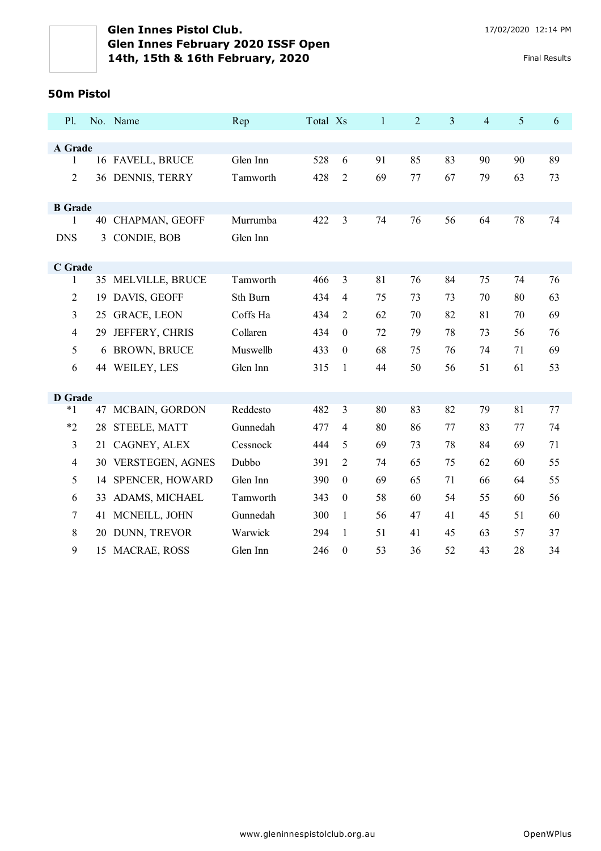#### **50m Pistol**

| <b>P</b> 1.    |    | No. Name            | Rep      | Total Xs |                  | $\mathbf{1}$ | $\overline{2}$ | $\overline{3}$ | $\overline{4}$ | 5  | 6  |
|----------------|----|---------------------|----------|----------|------------------|--------------|----------------|----------------|----------------|----|----|
|                |    |                     |          |          |                  |              |                |                |                |    |    |
| A Grade        |    |                     |          |          |                  |              |                |                |                |    |    |
| 1              |    | 16 FAVELL, BRUCE    | Glen Inn | 528      | 6                | 91           | 85             | 83             | 90             | 90 | 89 |
| $\overline{2}$ |    | 36 DENNIS, TERRY    | Tamworth | 428      | $\overline{2}$   | 69           | 77             | 67             | 79             | 63 | 73 |
| <b>B</b> Grade |    |                     |          |          |                  |              |                |                |                |    |    |
| 1              |    | 40 CHAPMAN, GEOFF   | Murrumba | 422      | $\mathfrak{Z}$   | 74           | 76             | 56             | 64             | 78 | 74 |
| <b>DNS</b>     |    | 3 CONDIE, BOB       | Glen Inn |          |                  |              |                |                |                |    |    |
| C Grade        |    |                     |          |          |                  |              |                |                |                |    |    |
| 1              |    | 35 MELVILLE, BRUCE  | Tamworth | 466      | 3                | 81           | 76             | 84             | 75             | 74 | 76 |
| $\overline{2}$ |    | 19 DAVIS, GEOFF     | Sth Burn | 434      | $\overline{4}$   | 75           | 73             | 73             | 70             | 80 | 63 |
| 3              |    | 25 GRACE, LEON      | Coffs Ha | 434      | $\overline{2}$   | 62           | 70             | 82             | 81             | 70 | 69 |
| $\overline{4}$ | 29 | JEFFERY, CHRIS      | Collaren | 434      | $\theta$         | 72           | 79             | 78             | 73             | 56 | 76 |
| 5              | 6  | <b>BROWN, BRUCE</b> | Muswellb | 433      | $\boldsymbol{0}$ | 68           | 75             | 76             | 74             | 71 | 69 |
| 6              |    | 44 WEILEY, LES      | Glen Inn | 315      | 1                | 44           | 50             | 56             | 51             | 61 | 53 |
|                |    |                     |          |          |                  |              |                |                |                |    |    |
| <b>D</b> Grade |    |                     |          |          |                  |              |                |                |                |    |    |
| $*1$           |    | 47 MCBAIN, GORDON   | Reddesto | 482      | 3                | 80           | 83             | 82             | 79             | 81 | 77 |
| $*2$           |    | 28 STEELE, MATT     | Gunnedah | 477      | $\overline{4}$   | 80           | 86             | 77             | 83             | 77 | 74 |
| 3              |    | 21 CAGNEY, ALEX     | Cessnock | 444      | 5                | 69           | 73             | 78             | 84             | 69 | 71 |
| $\overline{4}$ |    | 30 VERSTEGEN, AGNES | Dubbo    | 391      | 2                | 74           | 65             | 75             | 62             | 60 | 55 |
| 5              | 14 | SPENCER, HOWARD     | Glen Inn | 390      | $\boldsymbol{0}$ | 69           | 65             | 71             | 66             | 64 | 55 |
| 6              | 33 | ADAMS, MICHAEL      | Tamworth | 343      | $\boldsymbol{0}$ | 58           | 60             | 54             | 55             | 60 | 56 |
| 7              | 41 | MCNEILL, JOHN       | Gunnedah | 300      | $\mathbf{1}$     | 56           | 47             | 41             | 45             | 51 | 60 |
| 8              | 20 | DUNN, TREVOR        | Warwick  | 294      | $\mathbf{1}$     | 51           | 41             | 45             | 63             | 57 | 37 |
| 9              | 15 | MACRAE, ROSS        | Glen Inn | 246      | $\boldsymbol{0}$ | 53           | 36             | 52             | 43             | 28 | 34 |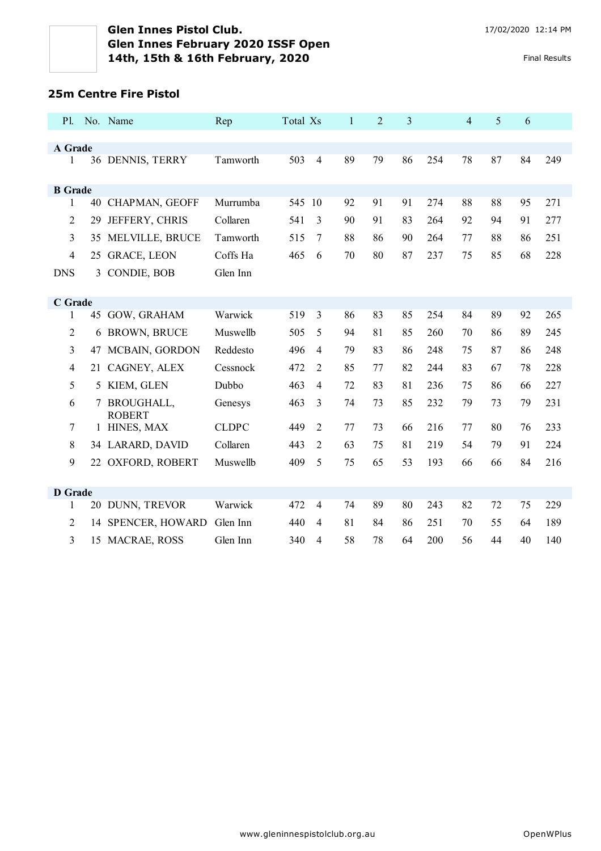## **25m Centre Fire Pistol**

| P1.            |    | No. Name                    | Rep          | Total Xs |                | $\mathbf{1}$ | $\overline{2}$ | 3  |     | 4  | 5  | 6  |     |
|----------------|----|-----------------------------|--------------|----------|----------------|--------------|----------------|----|-----|----|----|----|-----|
|                |    |                             |              |          |                |              |                |    |     |    |    |    |     |
| A Grade<br>1   |    | 36 DENNIS, TERRY            | Tamworth     | 503      | $\overline{4}$ | 89           | 79             | 86 | 254 | 78 | 87 | 84 | 249 |
|                |    |                             |              |          |                |              |                |    |     |    |    |    |     |
| <b>B</b> Grade |    |                             |              |          |                |              |                |    |     |    |    |    |     |
| 1              |    | 40 CHAPMAN, GEOFF           | Murrumba     | 545 10   |                | 92           | 91             | 91 | 274 | 88 | 88 | 95 | 271 |
| $\overline{2}$ | 29 | JEFFERY, CHRIS              | Collaren     | 541      | 3              | 90           | 91             | 83 | 264 | 92 | 94 | 91 | 277 |
| 3              | 35 | MELVILLE, BRUCE             | Tamworth     | 515      | 7              | 88           | 86             | 90 | 264 | 77 | 88 | 86 | 251 |
| $\overline{4}$ |    | 25 GRACE, LEON              | Coffs Ha     | 465      | 6              | 70           | 80             | 87 | 237 | 75 | 85 | 68 | 228 |
| <b>DNS</b>     |    | 3 CONDIE, BOB               | Glen Inn     |          |                |              |                |    |     |    |    |    |     |
|                |    |                             |              |          |                |              |                |    |     |    |    |    |     |
| C Grade        |    |                             |              |          |                |              |                |    |     |    |    |    |     |
| 1              |    | 45 GOW, GRAHAM              | Warwick      | 519      | $\overline{3}$ | 86           | 83             | 85 | 254 | 84 | 89 | 92 | 265 |
| 2              | 6  | <b>BROWN, BRUCE</b>         | Muswellb     | 505      | 5              | 94           | 81             | 85 | 260 | 70 | 86 | 89 | 245 |
| 3              | 47 | MCBAIN, GORDON              | Reddesto     | 496      | $\overline{4}$ | 79           | 83             | 86 | 248 | 75 | 87 | 86 | 248 |
| $\overline{4}$ |    | 21 CAGNEY, ALEX             | Cessnock     | 472      | 2              | 85           | 77             | 82 | 244 | 83 | 67 | 78 | 228 |
| 5              | 5  | KIEM, GLEN                  | Dubbo        | 463      | $\overline{4}$ | 72           | 83             | 81 | 236 | 75 | 86 | 66 | 227 |
| 6              | 7  | BROUGHALL,<br><b>ROBERT</b> | Genesys      | 463      | 3              | 74           | 73             | 85 | 232 | 79 | 73 | 79 | 231 |
| $\tau$         |    | 1 HINES, MAX                | <b>CLDPC</b> | 449      | $\overline{2}$ | 77           | 73             | 66 | 216 | 77 | 80 | 76 | 233 |
| 8              |    | 34 LARARD, DAVID            | Collaren     | 443      | $\overline{2}$ | 63           | 75             | 81 | 219 | 54 | 79 | 91 | 224 |
| 9              |    | 22 OXFORD, ROBERT           | Muswellb     | 409      | 5              | 75           | 65             | 53 | 193 | 66 | 66 | 84 | 216 |
|                |    |                             |              |          |                |              |                |    |     |    |    |    |     |
| <b>D</b> Grade |    |                             |              |          |                |              |                |    |     |    |    |    |     |
| 1              |    | 20 DUNN, TREVOR             | Warwick      | 472      | $\overline{4}$ | 74           | 89             | 80 | 243 | 82 | 72 | 75 | 229 |
| $\overline{2}$ |    | 14 SPENCER, HOWARD          | Glen Inn     | 440      | $\overline{4}$ | 81           | 84             | 86 | 251 | 70 | 55 | 64 | 189 |
| 3              |    | 15 MACRAE, ROSS             | Glen Inn     | 340      | $\overline{4}$ | 58           | 78             | 64 | 200 | 56 | 44 | 40 | 140 |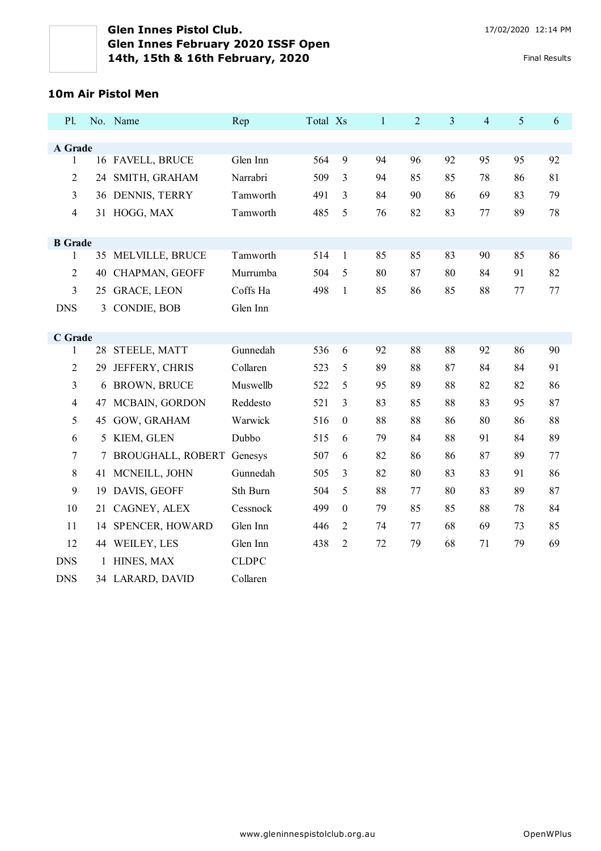#### **10m Air Pistol Men**

| P1.                     |    | No. Name                    | Rep          | Total Xs |                  | $\mathbf{1}$ | $\overline{2}$ | $\overline{3}$ | $\overline{4}$ | 5  | 6  |
|-------------------------|----|-----------------------------|--------------|----------|------------------|--------------|----------------|----------------|----------------|----|----|
|                         |    |                             |              |          |                  |              |                |                |                |    |    |
| A Grade<br>$\mathbf{1}$ |    | 16 FAVELL, BRUCE            | Glen Inn     | 564      | $\mathbf{9}$     | 94           | 96             | 92             | 95             | 95 | 92 |
|                         |    |                             |              |          |                  |              |                |                |                |    |    |
| $\overline{2}$          | 24 | SMITH, GRAHAM               | Narrabri     | 509      | 3                | 94           | 85             | 85             | 78             | 86 | 81 |
| 3                       |    | 36 DENNIS, TERRY            | Tamworth     | 491      | 3                | 84           | 90             | 86             | 69             | 83 | 79 |
| 4                       |    | 31 HOGG, MAX                | Tamworth     | 485      | 5                | 76           | 82             | 83             | 77             | 89 | 78 |
| <b>B</b> Grade          |    |                             |              |          |                  |              |                |                |                |    |    |
| 1                       |    | 35 MELVILLE, BRUCE          | Tamworth     | 514      | $\mathbf{1}$     | 85           | 85             | 83             | 90             | 85 | 86 |
| $\overline{2}$          |    | 40 CHAPMAN, GEOFF           | Murrumba     | 504      | 5                | 80           | 87             | 80             | 84             | 91 | 82 |
| 3                       |    | 25 GRACE, LEON              | Coffs Ha     | 498      | $\mathbf{1}$     | 85           | 86             | 85             | 88             | 77 | 77 |
| <b>DNS</b>              |    | 3 CONDIE, BOB               | Glen Inn     |          |                  |              |                |                |                |    |    |
|                         |    |                             |              |          |                  |              |                |                |                |    |    |
| C Grade                 |    |                             |              |          |                  |              |                |                |                |    |    |
| 1                       |    | 28 STEELE, MATT             | Gunnedah     | 536      | 6                | 92           | 88             | 88             | 92             | 86 | 90 |
| $\overline{2}$          | 29 | JEFFERY, CHRIS              | Collaren     | 523      | 5                | 89           | 88             | 87             | 84             | 84 | 91 |
| 3                       |    | 6 BROWN, BRUCE              | Muswellb     | 522      | 5                | 95           | 89             | 88             | 82             | 82 | 86 |
| $\overline{4}$          |    | 47 MCBAIN, GORDON           | Reddesto     | 521      | 3                | 83           | 85             | 88             | 83             | 95 | 87 |
| 5                       |    | 45 GOW, GRAHAM              | Warwick      | 516      | $\boldsymbol{0}$ | 88           | 88             | 86             | 80             | 86 | 88 |
| 6                       |    | 5 KIEM, GLEN                | Dubbo        | 515      | 6                | 79           | 84             | 88             | 91             | 84 | 89 |
| $\overline{7}$          |    | 7 BROUGHALL, ROBERT Genesys |              | 507      | 6                | 82           | 86             | 86             | 87             | 89 | 77 |
| 8                       |    | 41 MCNEILL, JOHN            | Gunnedah     | 505      | 3                | 82           | 80             | 83             | 83             | 91 | 86 |
| 9                       | 19 | DAVIS, GEOFF                | Sth Burn     | 504      | 5                | 88           | 77             | 80             | 83             | 89 | 87 |
| 10                      |    | 21 CAGNEY, ALEX             | Cessnock     | 499      | $\boldsymbol{0}$ | 79           | 85             | 85             | 88             | 78 | 84 |
| 11                      | 14 | <b>SPENCER, HOWARD</b>      | Glen Inn     | 446      | 2                | 74           | 77             | 68             | 69             | 73 | 85 |
| 12                      |    | 44 WEILEY, LES              | Glen Inn     | 438      | $\overline{2}$   | 72           | 79             | 68             | 71             | 79 | 69 |
| <b>DNS</b>              |    | 1 HINES, MAX                | <b>CLDPC</b> |          |                  |              |                |                |                |    |    |
| <b>DNS</b>              |    | 34 LARARD, DAVID            | Collaren     |          |                  |              |                |                |                |    |    |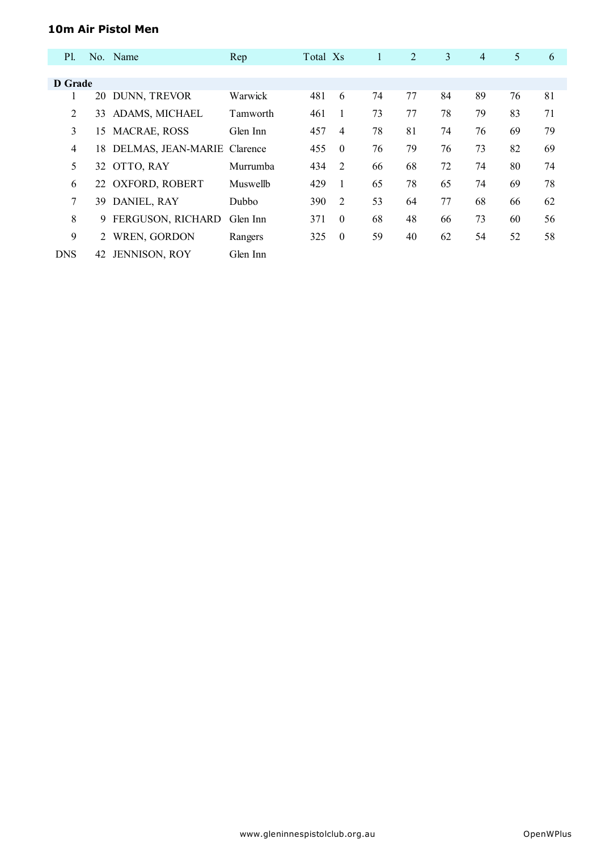### **10m Air Pistol Men**

| <b>Pl.</b> |    | No. Name                       | Rep      | Total Xs |                | $\mathbf{1}$ | 2  | 3  | $\overline{4}$ | 5  | 6  |
|------------|----|--------------------------------|----------|----------|----------------|--------------|----|----|----------------|----|----|
|            |    |                                |          |          |                |              |    |    |                |    |    |
| D Grade    |    |                                |          |          |                |              |    |    |                |    |    |
| 1          |    | 20 DUNN, TREVOR                | Warwick  | 481      | 6              | 74           | 77 | 84 | 89             | 76 | 81 |
| 2          | 33 | ADAMS, MICHAEL                 | Tamworth | 461      | 1              | 73           | 77 | 78 | 79             | 83 | 71 |
| 3          | 15 | <b>MACRAE, ROSS</b>            | Glen Inn | 457      | $\overline{4}$ | 78           | 81 | 74 | 76             | 69 | 79 |
| 4          |    | 18 DELMAS, JEAN-MARIE Clarence |          | 455      | $\theta$       | 76           | 79 | 76 | 73             | 82 | 69 |
| 5          |    | 32 OTTO, RAY                   | Murrumba | 434      | 2              | 66           | 68 | 72 | 74             | 80 | 74 |
| 6          |    | 22 OXFORD, ROBERT              | Muswellb | 429      | $\mathbf{1}$   | 65           | 78 | 65 | 74             | 69 | 78 |
| 7          | 39 | DANIEL, RAY                    | Dubbo    | 390      | 2              | 53           | 64 | 77 | 68             | 66 | 62 |
| 8          | 9  | FERGUSON, RICHARD              | Glen Inn | 371      | $\theta$       | 68           | 48 | 66 | 73             | 60 | 56 |
| 9          | 2  | WREN, GORDON                   | Rangers  | 325      | $\theta$       | 59           | 40 | 62 | 54             | 52 | 58 |
| <b>DNS</b> | 42 | <b>JENNISON, ROY</b>           | Glen Inn |          |                |              |    |    |                |    |    |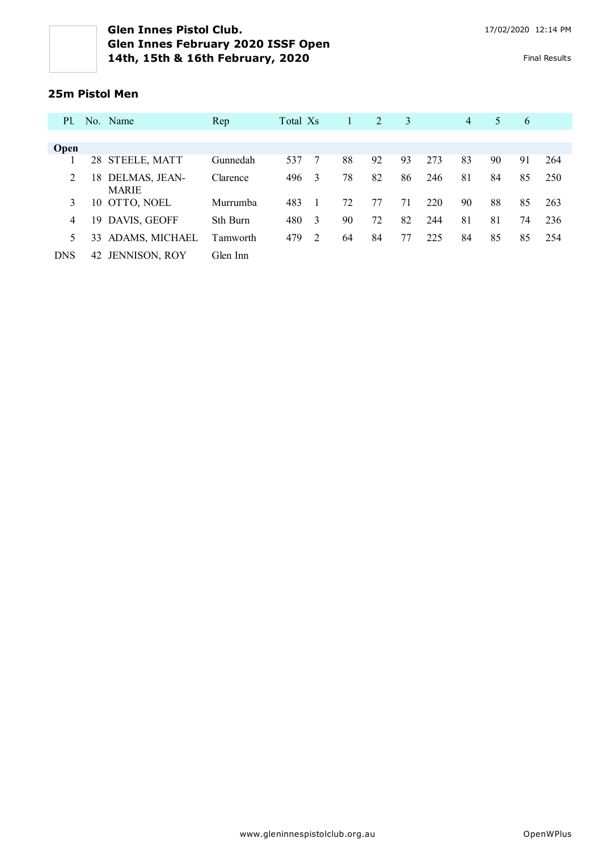#### **25m Pistol Men**

| <b>P</b> 1. |    | No. Name                      | Rep      | Total Xs |   |    | 2  | 3  |     | $\overline{4}$ | 5  | 6  |     |
|-------------|----|-------------------------------|----------|----------|---|----|----|----|-----|----------------|----|----|-----|
|             |    |                               |          |          |   |    |    |    |     |                |    |    |     |
| <b>Open</b> |    |                               |          |          |   |    |    |    |     |                |    |    |     |
|             |    | 28 STEELE, MATT               | Gunnedah | 537      |   | 88 | 92 | 93 | 273 | 83             | 90 | 91 | 264 |
| 2           | 18 | DELMAS, JEAN-<br><b>MARIE</b> | Clarence | 496      | 3 | 78 | 82 | 86 | 246 | 81             | 84 | 85 | 250 |
| 3           |    | 10 OTTO, NOEL                 | Murrumba | 483      |   | 72 | 77 | 71 | 220 | 90             | 88 | 85 | 263 |
| 4           |    | 19 DAVIS, GEOFF               | Sth Burn | 480      | 3 | 90 | 72 | 82 | 244 | 81             | 81 | 74 | 236 |
| 5           | 33 | ADAMS, MICHAEL                | Tamworth | 479      | 2 | 64 | 84 | 77 | 225 | 84             | 85 | 85 | 254 |
| <b>DNS</b>  | 42 | JENNISON, ROY                 | Glen Inn |          |   |    |    |    |     |                |    |    |     |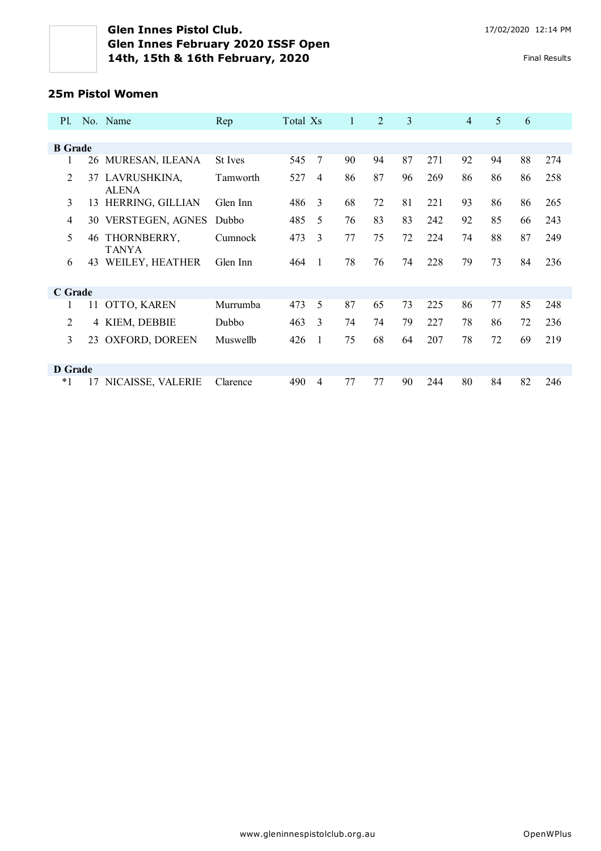### **25m Pistol Women**

| P1.            |    | No. Name                     | Rep      | Total Xs |                | 1  | $\overline{2}$ | 3  |     | $\overline{4}$ | 5  | 6  |     |
|----------------|----|------------------------------|----------|----------|----------------|----|----------------|----|-----|----------------|----|----|-----|
|                |    |                              |          |          |                |    |                |    |     |                |    |    |     |
| <b>B</b> Grade |    |                              |          |          |                |    |                |    |     |                |    |    |     |
|                |    | 26 MURESAN, ILEANA           | St Ives  | 545      | 7              | 90 | 94             | 87 | 271 | 92             | 94 | 88 | 274 |
| 2              | 37 | LAVRUSHKINA,<br><b>ALENA</b> | Tamworth | 527      | $\overline{4}$ | 86 | 87             | 96 | 269 | 86             | 86 | 86 | 258 |
| 3              | 13 | HERRING, GILLIAN             | Glen Inn | 486      | 3              | 68 | 72             | 81 | 221 | 93             | 86 | 86 | 265 |
| 4              |    | 30 VERSTEGEN, AGNES          | Dubbo    | 485      | 5              | 76 | 83             | 83 | 242 | 92             | 85 | 66 | 243 |
| 5              | 46 | THORNBERRY,<br><b>TANYA</b>  | Cumnock  | 473      | 3              | 77 | 75             | 72 | 224 | 74             | 88 | 87 | 249 |
| 6              | 43 | WEILEY, HEATHER              | Glen Inn | 464      | $\overline{1}$ | 78 | 76             | 74 | 228 | 79             | 73 | 84 | 236 |
| C Grade        |    |                              |          |          |                |    |                |    |     |                |    |    |     |
|                | 11 | OTTO, KAREN                  | Murrumba | 473      | 5              | 87 | 65             | 73 | 225 | 86             | 77 | 85 | 248 |
| $\overline{c}$ |    | 4 KIEM, DEBBIE               | Dubbo    | 463      | $\mathbf{3}$   | 74 | 74             | 79 | 227 | 78             | 86 | 72 | 236 |
| 3              | 23 | OXFORD, DOREEN               | Muswellb | 426      | $\mathbf{1}$   | 75 | 68             | 64 | 207 | 78             | 72 | 69 | 219 |
| D Grade        |    |                              |          |          |                |    |                |    |     |                |    |    |     |
| $*1$           | 17 | NICAISSE, VALERIE            | Clarence | 490      | $\overline{4}$ | 77 | 77             | 90 | 244 | 80             | 84 | 82 | 246 |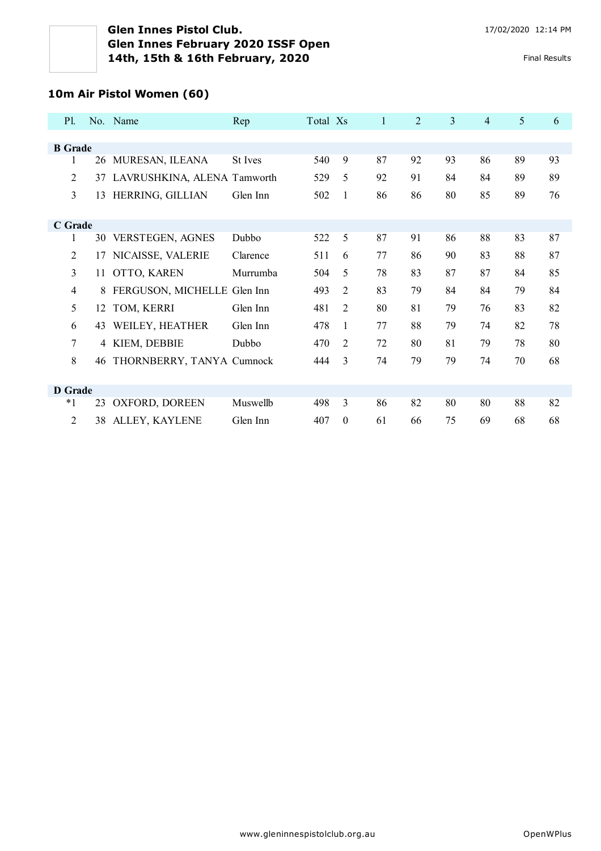# **10m Air Pistol Women (60)**

| P1             |    | No. Name                    | Rep      | Total Xs |                  | 1  | 2  | $\overline{3}$ | $\overline{4}$ | 5  | 6  |
|----------------|----|-----------------------------|----------|----------|------------------|----|----|----------------|----------------|----|----|
|                |    |                             |          |          |                  |    |    |                |                |    |    |
| <b>B</b> Grade |    |                             |          |          |                  |    |    |                |                |    |    |
| 1              |    | 26 MURESAN, ILEANA          | St Ives  | 540      | 9                | 87 | 92 | 93             | 86             | 89 | 93 |
| 2              | 37 | LAVRUSHKINA, ALENA Tamworth |          | 529      | 5                | 92 | 91 | 84             | 84             | 89 | 89 |
| $\overline{3}$ | 13 | HERRING, GILLIAN            | Glen Inn | 502      | 1                | 86 | 86 | 80             | 85             | 89 | 76 |
|                |    |                             |          |          |                  |    |    |                |                |    |    |
| C Grade        |    |                             |          |          |                  |    |    |                |                |    |    |
| 1              |    | 30 VERSTEGEN, AGNES         | Dubbo    | 522      | 5                | 87 | 91 | 86             | 88             | 83 | 87 |
| $\overline{2}$ | 17 | NICAISSE, VALERIE           | Clarence | 511      | 6                | 77 | 86 | 90             | 83             | 88 | 87 |
| $\overline{3}$ | 11 | OTTO, KAREN                 | Murrumba | 504      | 5                | 78 | 83 | 87             | 87             | 84 | 85 |
| $\overline{4}$ | 8  | FERGUSON, MICHELLE Glen Inn |          | 493      | $\overline{2}$   | 83 | 79 | 84             | 84             | 79 | 84 |
| 5              | 12 | TOM, KERRI                  | Glen Inn | 481      | 2                | 80 | 81 | 79             | 76             | 83 | 82 |
| 6              | 43 | WEILEY, HEATHER             | Glen Inn | 478      | $\mathbf{1}$     | 77 | 88 | 79             | 74             | 82 | 78 |
| $\tau$         |    | 4 KIEM, DEBBIE              | Dubbo    | 470      | 2                | 72 | 80 | 81             | 79             | 78 | 80 |
| 8              | 46 | THORNBERRY, TANYA Cumnock   |          | 444      | 3                | 74 | 79 | 79             | 74             | 70 | 68 |
|                |    |                             |          |          |                  |    |    |                |                |    |    |
| <b>D</b> Grade |    |                             |          |          |                  |    |    |                |                |    |    |
| $*1$           | 23 | OXFORD, DOREEN              | Muswellb | 498      | 3                | 86 | 82 | 80             | 80             | 88 | 82 |
| $\overline{2}$ | 38 | ALLEY, KAYLENE              | Glen Inn | 407      | $\boldsymbol{0}$ | 61 | 66 | 75             | 69             | 68 | 68 |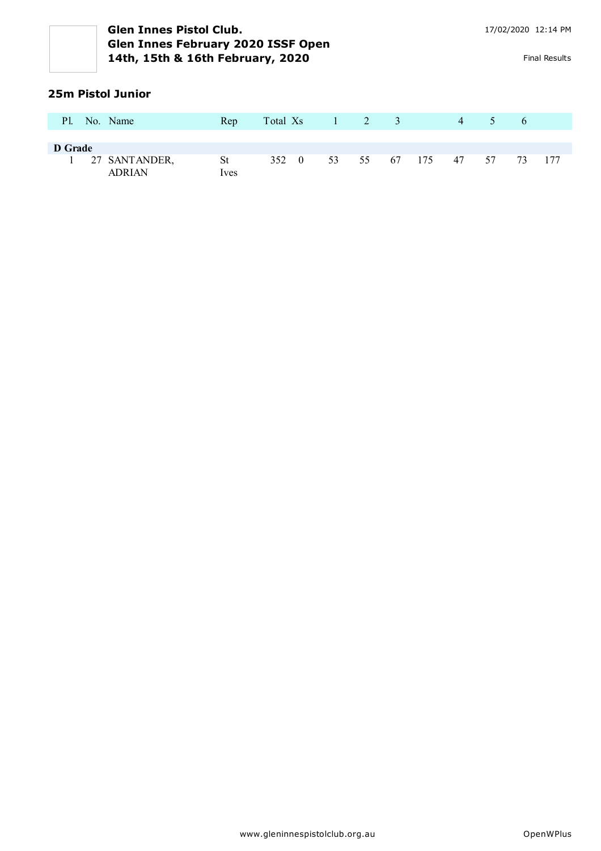#### **25m Pistol Junior**

| <b>Pl.</b> | No. Name                         | Rep               |       | Total Xs 1 2 3 |  |                 | $\overline{4}$ | $\sqrt{2}$ | -6 |  |
|------------|----------------------------------|-------------------|-------|----------------|--|-----------------|----------------|------------|----|--|
| D Grade    |                                  |                   |       |                |  |                 |                |            |    |  |
|            | 1 27 SANTANDER,<br><b>ADRIAN</b> | St<br><i>lves</i> | 352 0 |                |  | 53 55 67 175 47 |                | 57 73 177  |    |  |